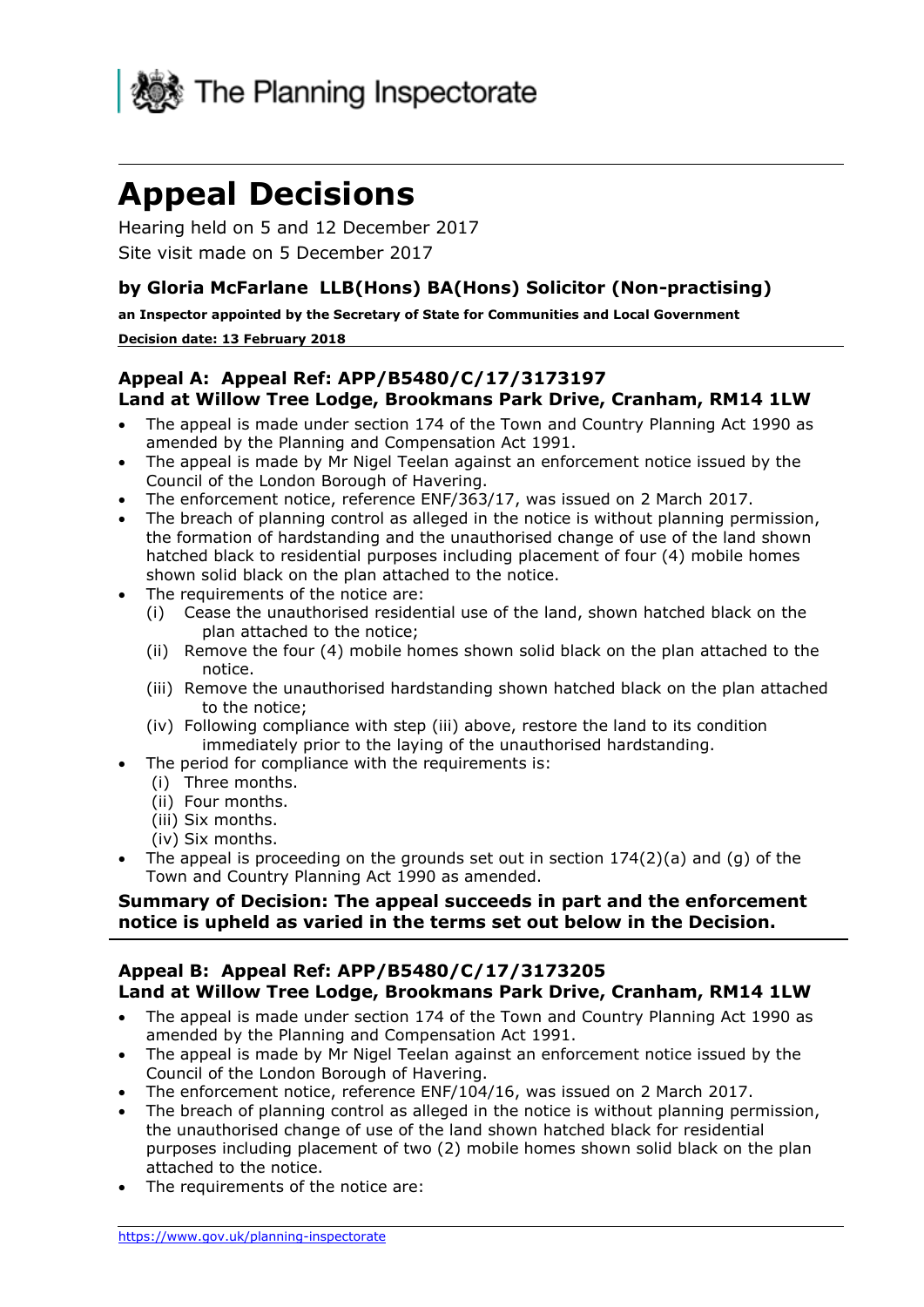

# **Appeal Decisions**

 Hearing held on 5 and 12 December 2017 Site visit made on 5 December 2017

# **by Gloria McFarlane LLB(Hons) BA(Hons) Solicitor (Non-practising)**

 **an Inspector appointed by the Secretary of State for Communities and Local Government** 

#### **Decision date: 13 February 2018**

## **Appeal A: Appeal Ref: APP/B5480/C/17/3173197 Land at Willow Tree Lodge, Brookmans Park Drive, Cranham, RM14 1LW**

- The appeal is made under section 174 of the Town and Country Planning Act 1990 as amended by the Planning and Compensation Act 1991.
- The appeal is made by Mr Nigel Teelan against an enforcement notice issued by the Council of the London Borough of Havering.
- The enforcement notice, reference ENF/363/17, was issued on 2 March 2017.
- The breach of planning control as alleged in the notice is without planning permission, the formation of hardstanding and the unauthorised change of use of the land shown hatched black to residential purposes including placement of four (4) mobile homes shown solid black on the plan attached to the notice.
- The requirements of the notice are:
	- (i) Cease the unauthorised residential use of the land, shown hatched black on the plan attached to the notice;
	- (ii) Remove the four (4) mobile homes shown solid black on the plan attached to the notice.
	- (iii) Remove the unauthorised hardstanding shown hatched black on the plan attached to the notice;
	- (iv) Following compliance with step (iii) above, restore the land to its condition immediately prior to the laying of the unauthorised hardstanding.
- The period for compliance with the requirements is:
	- (i) Three months.
	- (ii) Four months.
	- (iii) Six months.
	- (iv) Six months.
- The appeal is proceeding on the grounds set out in section  $174(2)(a)$  and (q) of the Town and Country Planning Act 1990 as amended.

## **Summary of Decision: The appeal succeeds in part and the enforcement notice is upheld as varied in the terms set out below in the Decision.**

#### **Appeal B: Appeal Ref: APP/B5480/C/17/3173205 Land at Willow Tree Lodge, Brookmans Park Drive, Cranham, RM14 1LW**

- The appeal is made under section 174 of the Town and Country Planning Act 1990 as amended by the Planning and Compensation Act 1991.
- The appeal is made by Mr Nigel Teelan against an enforcement notice issued by the Council of the London Borough of Havering.
- The enforcement notice, reference ENF/104/16, was issued on 2 March 2017.
- the unauthorised change of use of the land shown hatched black for residential The breach of planning control as alleged in the notice is without planning permission, purposes including placement of two (2) mobile homes shown solid black on the plan attached to the notice.
- The requirements of the notice are: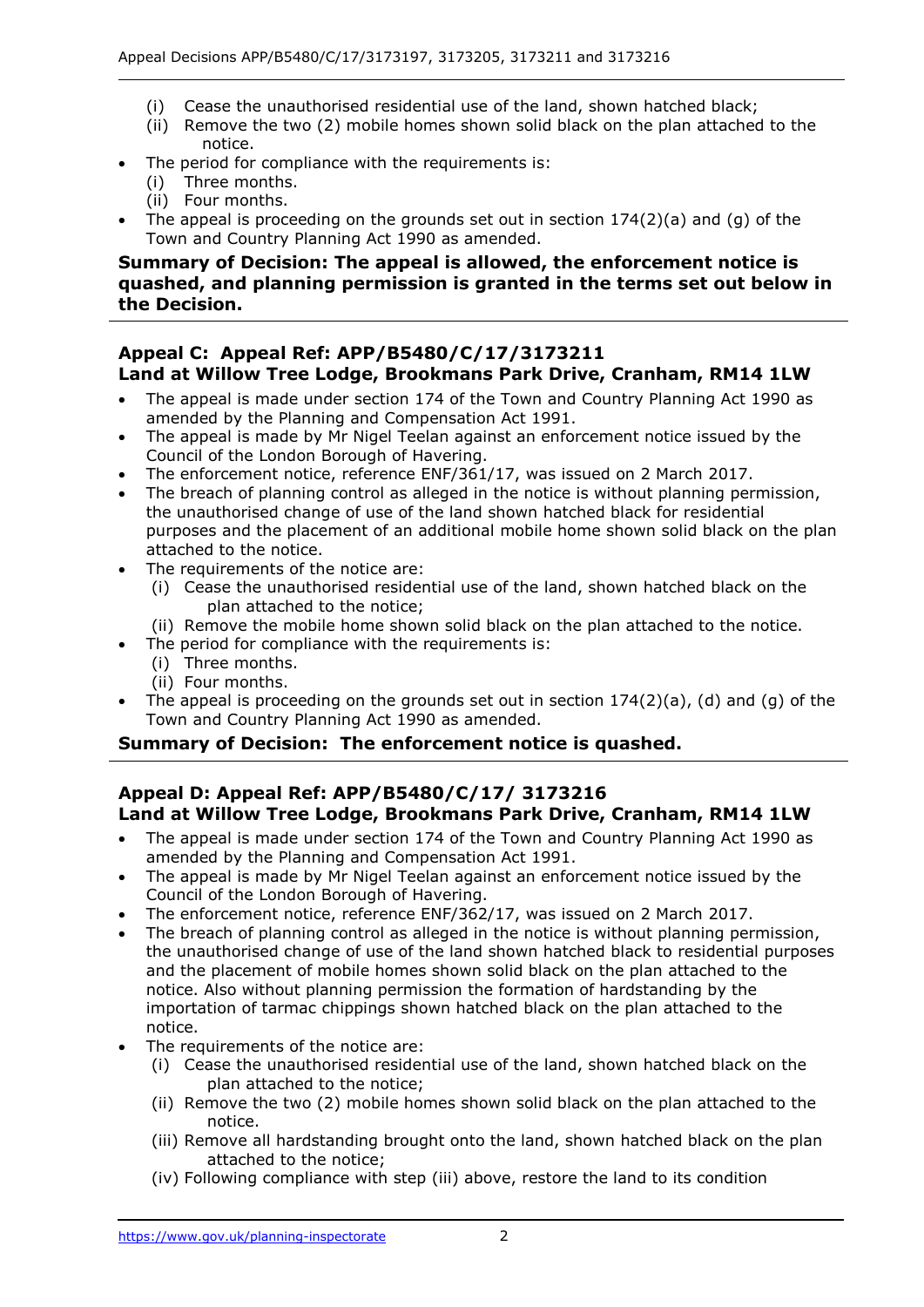- (i) Cease the unauthorised residential use of the land, shown hatched black;
- (ii) Remove the two (2) mobile homes shown solid black on the plan attached to the notice.
- The period for compliance with the requirements is:
	- (i) Three months.
	- (ii) Four months.
- The appeal is proceeding on the grounds set out in section 174(2)(a) and (g) of the Town and Country Planning Act 1990 as amended.

#### **Summary of Decision: The appeal is allowed, the enforcement notice is quashed, and planning permission is granted in the terms set out below in the Decision.**

#### **Appeal C: Appeal Ref: APP/B5480/C/17/3173211 Land at Willow Tree Lodge, Brookmans Park Drive, Cranham, RM14 1LW**

- The appeal is made under section 174 of the Town and Country Planning Act 1990 as amended by the Planning and Compensation Act 1991.
- The appeal is made by Mr Nigel Teelan against an enforcement notice issued by the Council of the London Borough of Havering.
- The enforcement notice, reference ENF/361/17, was issued on 2 March 2017.
- the unauthorised change of use of the land shown hatched black for residential purposes and the placement of an additional mobile home shown solid black on the plan The breach of planning control as alleged in the notice is without planning permission, attached to the notice.
- The requirements of the notice are:
	- (i) Cease the unauthorised residential use of the land, shown hatched black on the plan attached to the notice;
	- (ii) Remove the mobile home shown solid black on the plan attached to the notice.
		- The period for compliance with the requirements is:
			- (i) Three months.
		- (ii) Four months.
- The appeal is proceeding on the grounds set out in section 174(2)(a), (d) and (g) of the Town and Country Planning Act 1990 as amended.

## **Summary of Decision: The enforcement notice is quashed.**

#### **Land at Willow Tree Lodge, Brookmans Park Drive, Cranham, RM14 1LW Appeal D: Appeal Ref: APP/B5480/C/17/ 3173216**

- The appeal is made under section 174 of the Town and Country Planning Act 1990 as amended by the Planning and Compensation Act 1991.
- The appeal is made by Mr Nigel Teelan against an enforcement notice issued by the Council of the London Borough of Havering.
- The enforcement notice, reference ENF/362/17, was issued on 2 March 2017.
- the unauthorised change of use of the land shown hatched black to residential purposes The breach of planning control as alleged in the notice is without planning permission, and the placement of mobile homes shown solid black on the plan attached to the notice. Also without planning permission the formation of hardstanding by the importation of tarmac chippings shown hatched black on the plan attached to the notice.
- The requirements of the notice are:
	- (i) Cease the unauthorised residential use of the land, shown hatched black on the plan attached to the notice;
	- (ii) Remove the two (2) mobile homes shown solid black on the plan attached to the notice.
	- (iii) Remove all hardstanding brought onto the land, shown hatched black on the plan attached to the notice;
	- (iv) Following compliance with step (iii) above, restore the land to its condition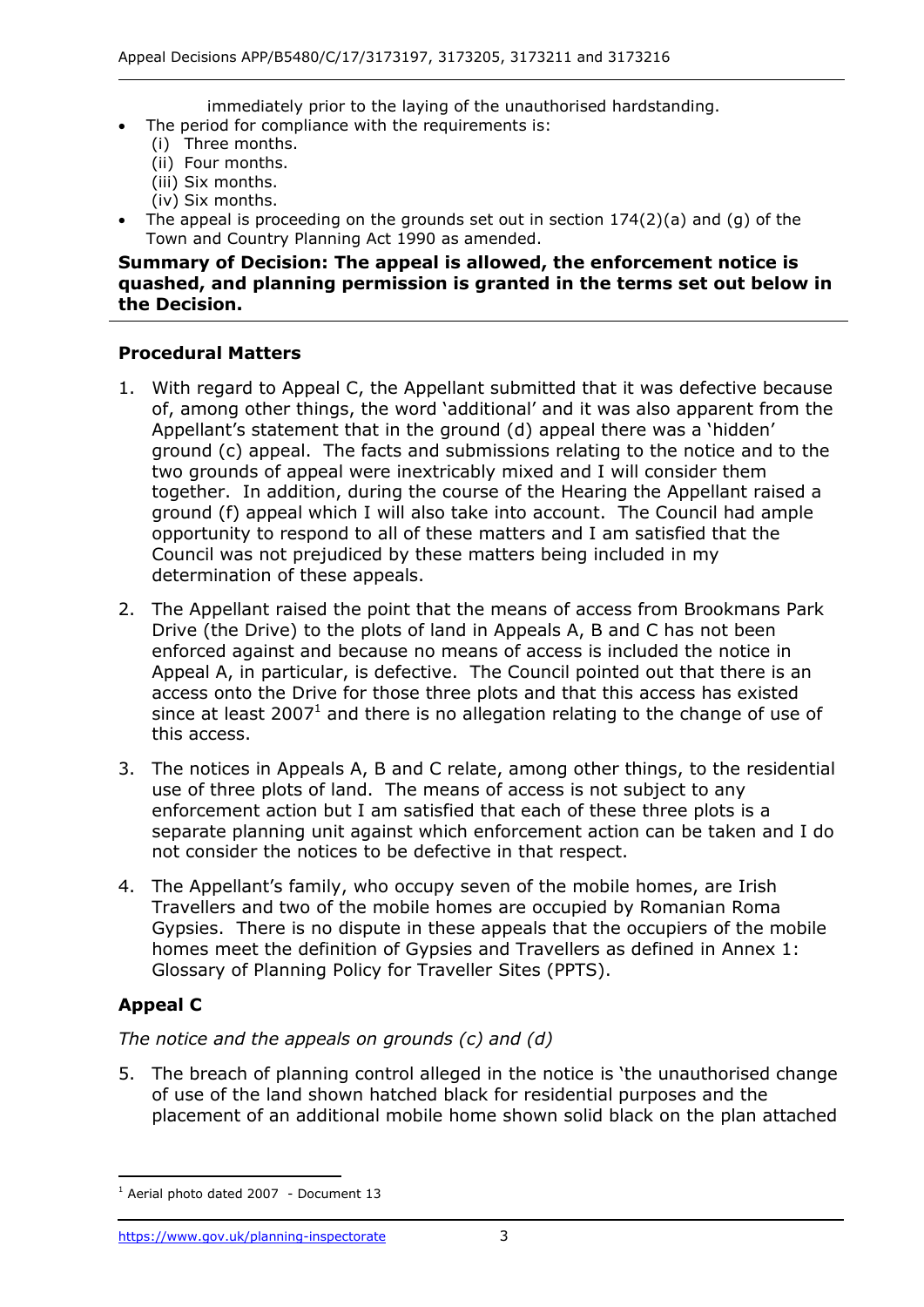immediately prior to the laying of the unauthorised hardstanding.

- The period for compliance with the requirements is:
- (i) Three months.
- (ii) Four months.
- (iii) Six months.
- (iv) Six months.
- The appeal is proceeding on the grounds set out in section  $174(2)(a)$  and (g) of the Town and Country Planning Act 1990 as amended.

#### **Summary of Decision: The appeal is allowed, the enforcement notice is quashed, and planning permission is granted in the terms set out below in the Decision.**

## **Procedural Matters**

- 1. With regard to Appeal C, the Appellant submitted that it was defective because of, among other things, the word 'additional' and it was also apparent from the ground (c) appeal. The facts and submissions relating to the notice and to the two grounds of appeal were inextricably mixed and I will consider them together. In addition, during the course of the Hearing the Appellant raised a ground (f) appeal which I will also take into account. The Council had ample opportunity to respond to all of these matters and I am satisfied that the Council was not prejudiced by these matters being included in my Appellant's statement that in the ground (d) appeal there was a 'hidden' determination of these appeals.
- 2. The Appellant raised the point that the means of access from Brookmans Park Drive (the Drive) to the plots of land in Appeals A, B and C has not been enforced against and because no means of access is included the notice in Appeal A, in particular, is defective. The Council pointed out that there is an access onto the Drive for those three plots and that this access has existed since at least 2007<sup>1</sup> and there is no allegation relating to the change of use of this access.
- this access.<br>3. The notices in Appeals A, B and C relate, among other things, to the residential use of three plots of land. The means of access is not subject to any enforcement action but I am satisfied that each of these three plots is a separate planning unit against which enforcement action can be taken and I do not consider the notices to be defective in that respect.
- not consider the notices to be defective in that respect. 4. The Appellant's family, who occupy seven of the mobile homes, are Irish Travellers and two of the mobile homes are occupied by Romanian Roma Gypsies. There is no dispute in these appeals that the occupiers of the mobile homes meet the definition of Gypsies and Travellers as defined in Annex 1: Glossary of Planning Policy for Traveller Sites (PPTS).

# **Appeal C**

-

# *The notice and the appeals on grounds (c) and (d)*

 5. The breach of planning control alleged in the notice is 'the unauthorised change of use of the land shown hatched black for residential purposes and the placement of an additional mobile home shown solid black on the plan attached

 $1$  Aerial photo dated 2007 - Document 13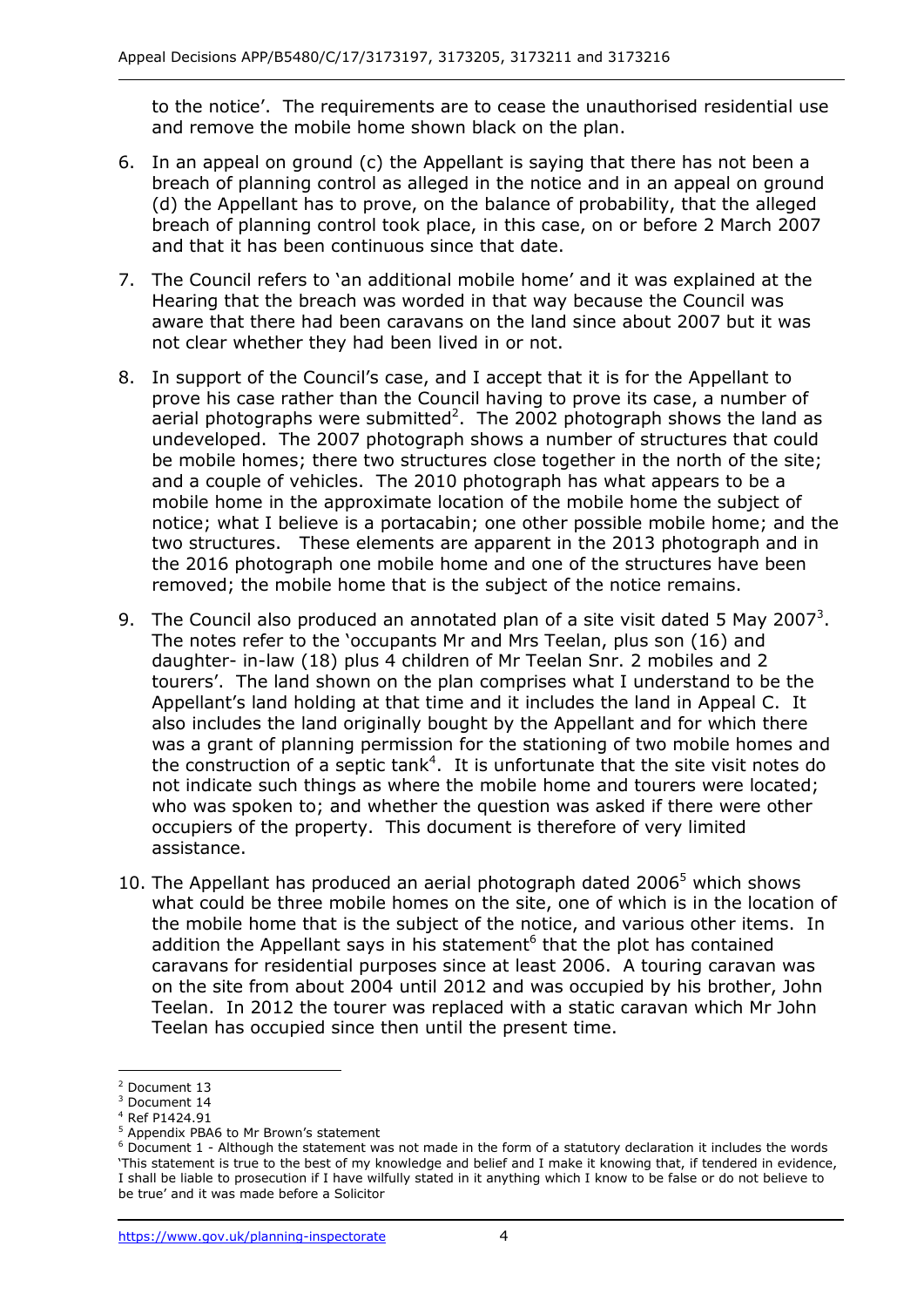to the notice'. The requirements are to cease the unauthorised residential use and remove the mobile home shown black on the plan.

- 6. In an appeal on ground (c) the Appellant is saying that there has not been a breach of planning control as alleged in the notice and in an appeal on ground breach of planning control took place, in this case, on or before 2 March 2007 and that it has been continuous since that date. (d) the Appellant has to prove, on the balance of probability, that the alleged
- 7. The Council refers to 'an additional mobile home' and it was explained at the Hearing that the breach was worded in that way because the Council was aware that there had been caravans on the land since about 2007 but it was not clear whether they had been lived in or not.
- 8. In support of the Council's case, and I accept that it is for the Appellant to prove his case rather than the Council having to prove its case, a number of aerial photographs were submitted<sup>2</sup>. The 2002 photograph shows the land as undeveloped. The 2007 photograph shows a number of structures that could be mobile homes; there two structures close together in the north of the site; and a couple of vehicles. The 2010 photograph has what appears to be a notice; what I believe is a portacabin; one other possible mobile home; and the two structures. These elements are apparent in the 2013 photograph and in removed; the mobile home that is the subject of the notice remains. mobile home in the approximate location of the mobile home the subject of the 2016 photograph one mobile home and one of the structures have been
- 9. The Council also produced an annotated plan of a site visit dated 5 May 2007<sup>3</sup>. The notes refer to the 'occupants Mr and Mrs Teelan, plus son (16) and daughter- in-law (18) plus 4 children of Mr Teelan Snr. 2 mobiles and 2 tourers'. The land shown on the plan comprises what I understand to be the Appellant's land holding at that time and it includes the land in Appeal C. It also includes the land originally bought by the Appellant and for which there was a grant of planning permission for the stationing of two mobile homes and the construction of a septic tank<sup>4</sup>. It is unfortunate that the site visit notes do occupiers of the property. This document is therefore of very limited assistance. not indicate such things as where the mobile home and tourers were located; who was spoken to; and whether the question was asked if there were other
- assistance.<br>10. The Appellant has produced an aerial photograph dated 2006<sup>5</sup> which shows what could be three mobile homes on the site, one of which is in the location of the mobile home that is the subject of the notice, and various other items. In addition the Appellant says in his statement $<sup>6</sup>$  that the plot has contained</sup> caravans for residential purposes since at least 2006. A touring caravan was on the site from about 2004 until 2012 and was occupied by his brother, John Teelan. In 2012 the tourer was replaced with a static caravan which Mr John Teelan has occupied since then until the present time.

 $\overline{a}$ 

<sup>2</sup> Document 13

<sup>&</sup>lt;sup>3</sup> Document 14

 $4$  Ref P1424.91

<sup>&</sup>lt;sup>4</sup> Ref P1424.91<br><sup>5</sup> Appendix PBA6 to Mr Brown's statement

 $6$  Document 1 - Although the statement was not made in the form of a statutory declaration it includes the words 'This statement is true to the best of my knowledge and belief and I make it knowing that, if tendered in evidence, I shall be liable to prosecution if I have wilfully stated in it anything which I know to be false or do not believe to be true' and it was made before a Solicitor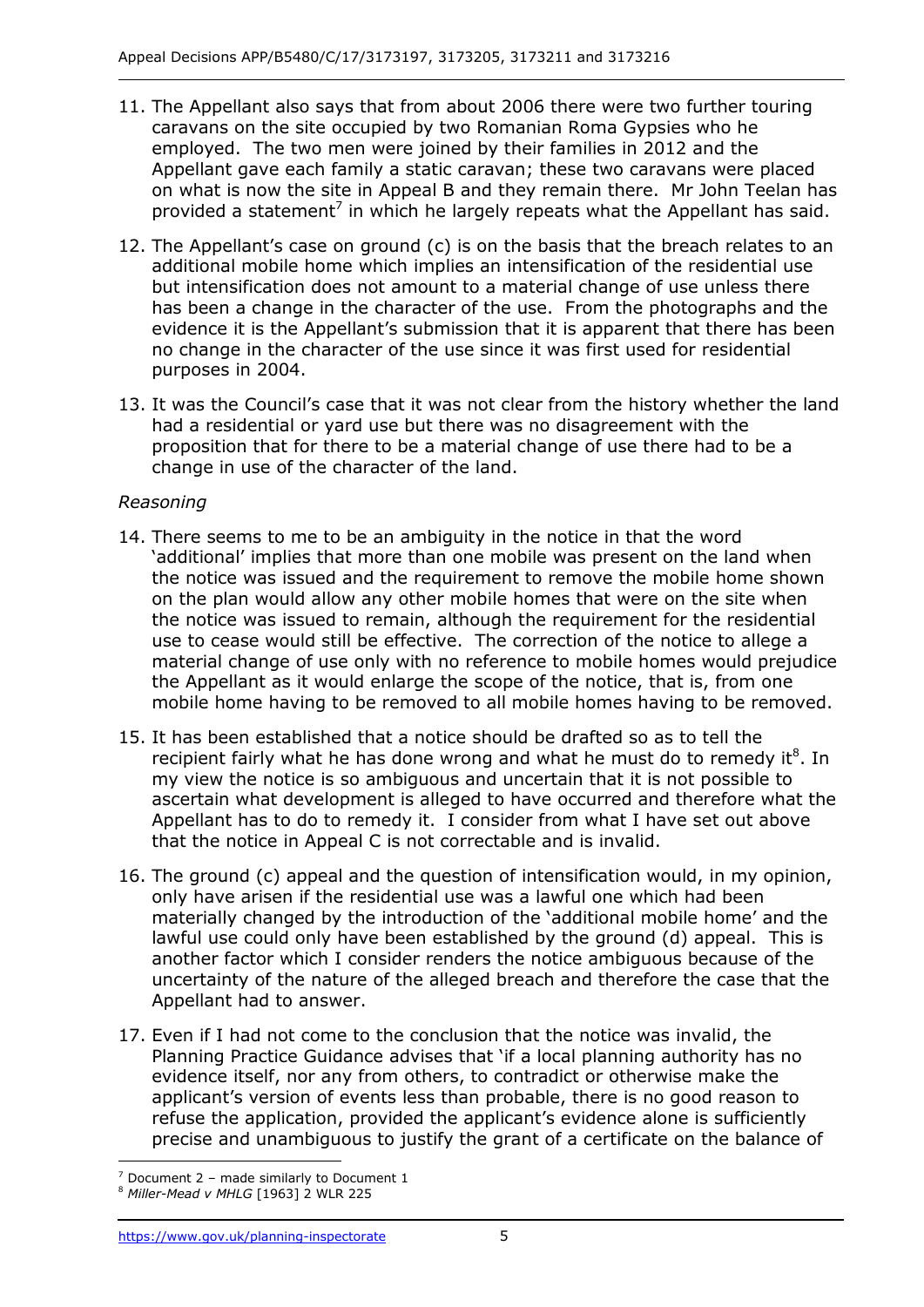- 11. The Appellant also says that from about 2006 there were two further touring employed. The two men were joined by their families in 2012 and the Appellant gave each family a static caravan; these two caravans were placed on what is now the site in Appeal B and they remain there. Mr John Teelan has provided a statement<sup>7</sup> in which he largely repeats what the Appellant has said. caravans on the site occupied by two Romanian Roma Gypsies who he
- but intensification does not amount to a material change of use unless there has been a change in the character of the use. From the photographs and the purposes in 2004. 12. The Appellant's case on ground (c) is on the basis that the breach relates to an additional mobile home which implies an intensification of the residential use evidence it is the Appellant's submission that it is apparent that there has been no change in the character of the use since it was first used for residential
- purposes in 2004. 13. It was the Council's case that it was not clear from the history whether the land had a residential or yard use but there was no disagreement with the proposition that for there to be a material change of use there had to be a change in use of the character of the land.

# *Reasoning*

- 14. There seems to me to be an ambiguity in the notice in that the word 'additional' implies that more than one mobile was present on the land when on the plan would allow any other mobile homes that were on the site when the notice was issued to remain, although the requirement for the residential use to cease would still be effective. The correction of the notice to allege a material change of use only with no reference to mobile homes would prejudice the Appellant as it would enlarge the scope of the notice, that is, from one mobile home having to be removed to all mobile homes having to be removed. the notice was issued and the requirement to remove the mobile home shown
- 15. It has been established that a notice should be drafted so as to tell the recipient fairly what he has done wrong and what he must do to remedy it ${}^{8}$ . In my view the notice is so ambiguous and uncertain that it is not possible to Appellant has to do to remedy it. I consider from what I have set out above that the notice in Appeal C is not correctable and is invalid. ascertain what development is alleged to have occurred and therefore what the
- 16. The ground (c) appeal and the question of intensification would, in my opinion, only have arisen if the residential use was a lawful one which had been materially changed by the introduction of the 'additional mobile home' and the lawful use could only have been established by the ground (d) appeal. This is another factor which I consider renders the notice ambiguous because of the uncertainty of the nature of the alleged breach and therefore the case that the Appellant had to answer.
- 17. Even if I had not come to the conclusion that the notice was invalid, the Planning Practice Guidance advises that 'if a local planning authority has no evidence itself, nor any from others, to contradict or otherwise make the precise and unambiguous to justify the grant of a certificate on the balance of applicant's version of events less than probable, there is no good reason to refuse the application, provided the applicant's evidence alone is sufficiently

j <sup>7</sup> Document 2 – made similarly to Document 1

<sup>&</sup>lt;sup>8</sup> Miller-Mead v MHLG [1963] 2 WLR 225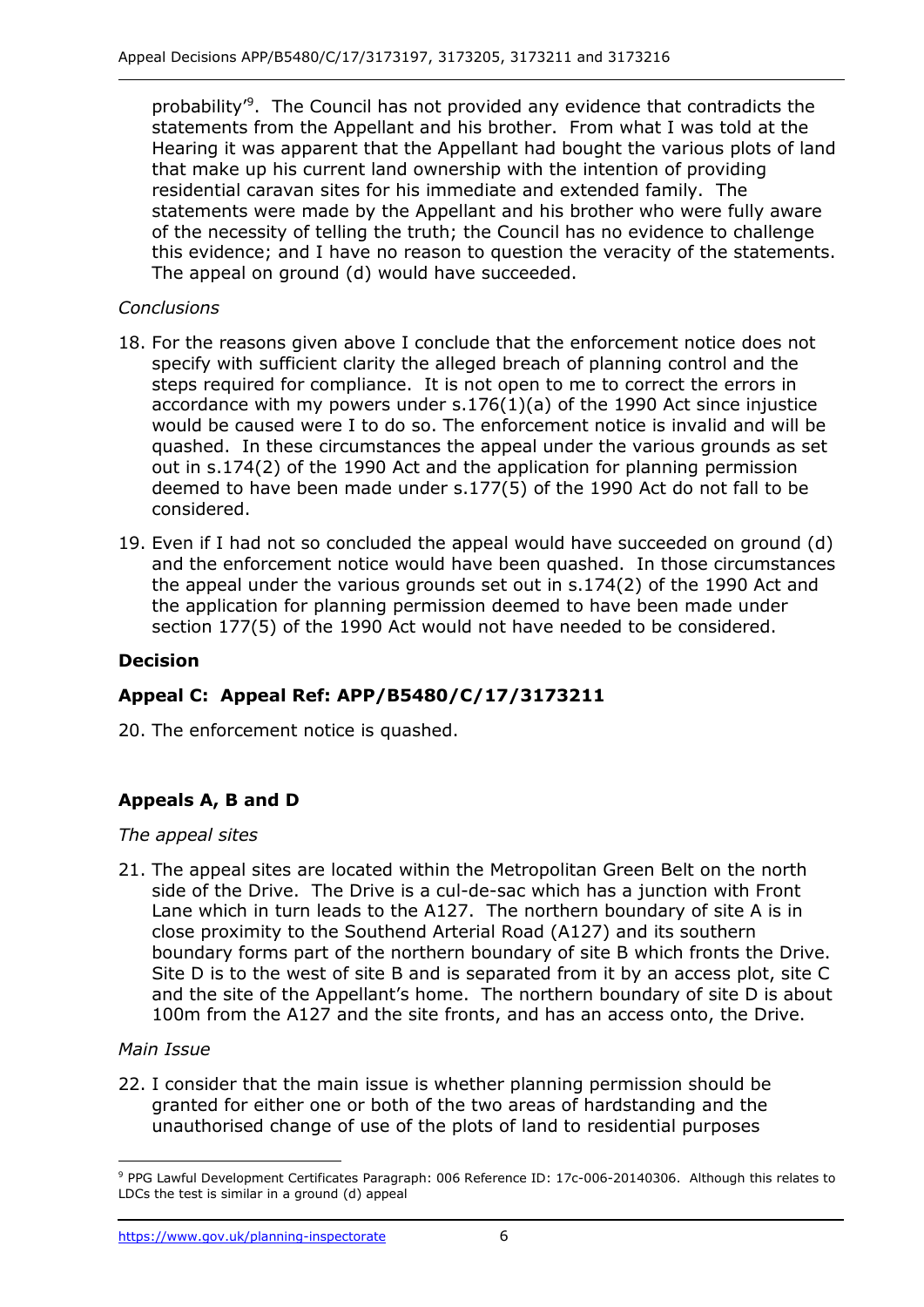probability<sup>, 9</sup>. The Council has not provided any evidence that contradicts the statements from the Appellant and his brother. From what I was told at the Hearing it was apparent that the Appellant had bought the various plots of land that make up his current land ownership with the intention of providing residential caravan sites for his immediate and extended family. The statements were made by the Appellant and his brother who were fully aware of the necessity of telling the truth; the Council has no evidence to challenge this evidence; and I have no reason to question the veracity of the statements. The appeal on ground (d) would have succeeded.

## *Conclusions*

- specify with sufficient clarity the alleged breach of planning control and the steps required for compliance. It is not open to me to correct the errors in accordance with my powers under s.176(1)(a) of the 1990 Act since injustice would be caused were I to do so. The enforcement notice is invalid and will be quashed. In these circumstances the appeal under the various grounds as set out in s.174(2) of the 1990 Act and the application for planning permission 18. For the reasons given above I conclude that the enforcement notice does not deemed to have been made under s.177(5) of the 1990 Act do not fall to be considered.
- 19. Even if I had not so concluded the appeal would have succeeded on ground (d) and the enforcement notice would have been quashed. In those circumstances the appeal under the various grounds set out in s.174(2) of the 1990 Act and section 177(5) of the 1990 Act would not have needed to be considered. the application for planning permission deemed to have been made under

## **Decision**

# **Appeal C: Appeal Ref: APP/B5480/C/17/3173211**

20. The enforcement notice is quashed.

# **Appeals A, B and D**

## *The appeal sites*

 side of the Drive. The Drive is a cul-de-sac which has a junction with Front Lane which in turn leads to the A127. The northern boundary of site A is in close proximity to the Southend Arterial Road (A127) and its southern boundary forms part of the northern boundary of site B which fronts the Drive. boundary forms part of the northern boundary of site B which fronts the Drive.<br>Site D is to the west of site B and is separated from it by an access plot, site C and the site of the Appellant's home. The northern boundary of site D is about 100m from the A127 and the site fronts, and has an access onto, the Drive. 21. The appeal sites are located within the Metropolitan Green Belt on the north

## *Main Issue*

 22. I consider that the main issue is whether planning permission should be granted for either one or both of the two areas of hardstanding and the unauthorised change of use of the plots of land to residential purposes

j LDCs the test is similar in a ground (d) appeal 9 PPG Lawful Development Certificates Paragraph: 006 Reference ID: 17c-006-20140306. Although this relates to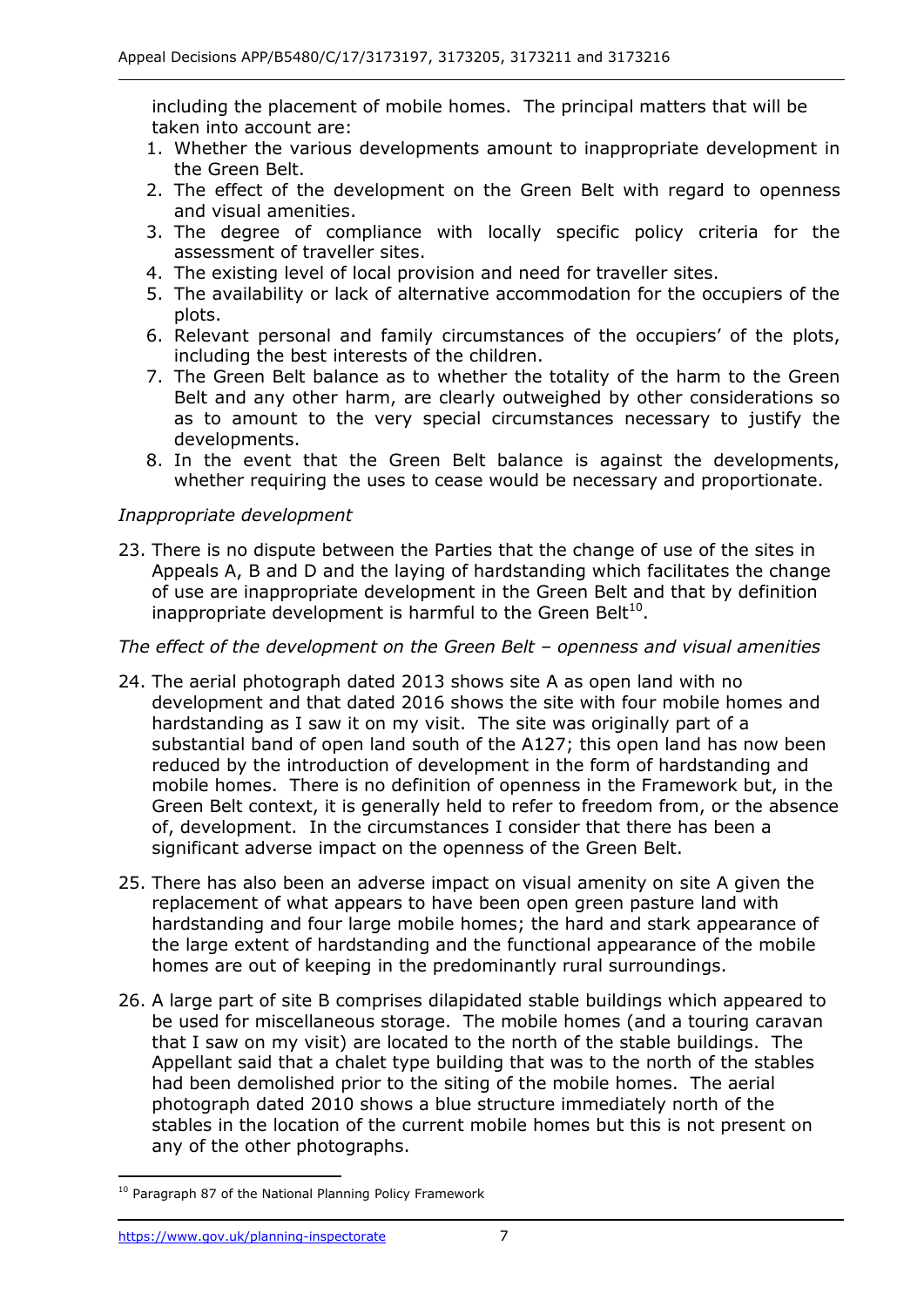including the placement of mobile homes. The principal matters that will be taken into account are:

- 1. Whether the various developments amount to inappropriate development in the Green Belt.
- 2. The effect of the development on the Green Belt with regard to openness and visual amenities.
- 3. The degree of compliance with locally specific policy criteria for the assessment of traveller sites.
- 4. The existing level of local provision and need for traveller sites.
- 5. The availability or lack of alternative accommodation for the occupiers of the plots.
- 6. Relevant personal and family circumstances of the occupiers' of the plots, including the best interests of the children.
- Belt and any other harm, are clearly outweighed by other considerations so as to amount to the very special circumstances necessary to justify the 7. The Green Belt balance as to whether the totality of the harm to the Green developments.
- whether requiring the uses to cease would be necessary and proportionate. 8. In the event that the Green Belt balance is against the developments,

#### *Inappropriate development*

 Appeals A, B and D and the laying of hardstanding which facilitates the change of use are inappropriate development in the Green Belt and that by definition 23. There is no dispute between the Parties that the change of use of the sites in inappropriate development is harmful to the Green Belt<sup>10</sup>.

#### *The effect of the development on the Green Belt – openness and visual amenities*

- 24. The aerial photograph dated 2013 shows site A as open land with no development and that dated 2016 shows the site with four mobile homes and hardstanding as I saw it on my visit. The site was originally part of a substantial band of open land south of the A127; this open land has now been mobile homes. There is no definition of openness in the Framework but, in the Green Belt context, it is generally held to refer to freedom from, or the absence of, development. In the circumstances I consider that there has been a reduced by the introduction of development in the form of hardstanding and significant adverse impact on the openness of the Green Belt.
- 25. There has also been an adverse impact on visual amenity on site A given the replacement of what appears to have been open green pasture land with hardstanding and four large mobile homes; the hard and stark appearance of the large extent of hardstanding and the functional appearance of the mobile homes are out of keeping in the predominantly rural surroundings.
- be used for miscellaneous storage. The mobile homes (and a touring caravan that I saw on my visit) are located to the north of the stable buildings. The Appellant said that a chalet type building that was to the north of the stables had been demolished prior to the siting of the mobile homes. The aerial photograph dated 2010 shows a blue structure immediately north of the stables in the location of the current mobile homes but this is not present on any of the other photographs. 26. A large part of site B comprises dilapidated stable buildings which appeared to

-

 $10$  Paragraph 87 of the National Planning Policy Framework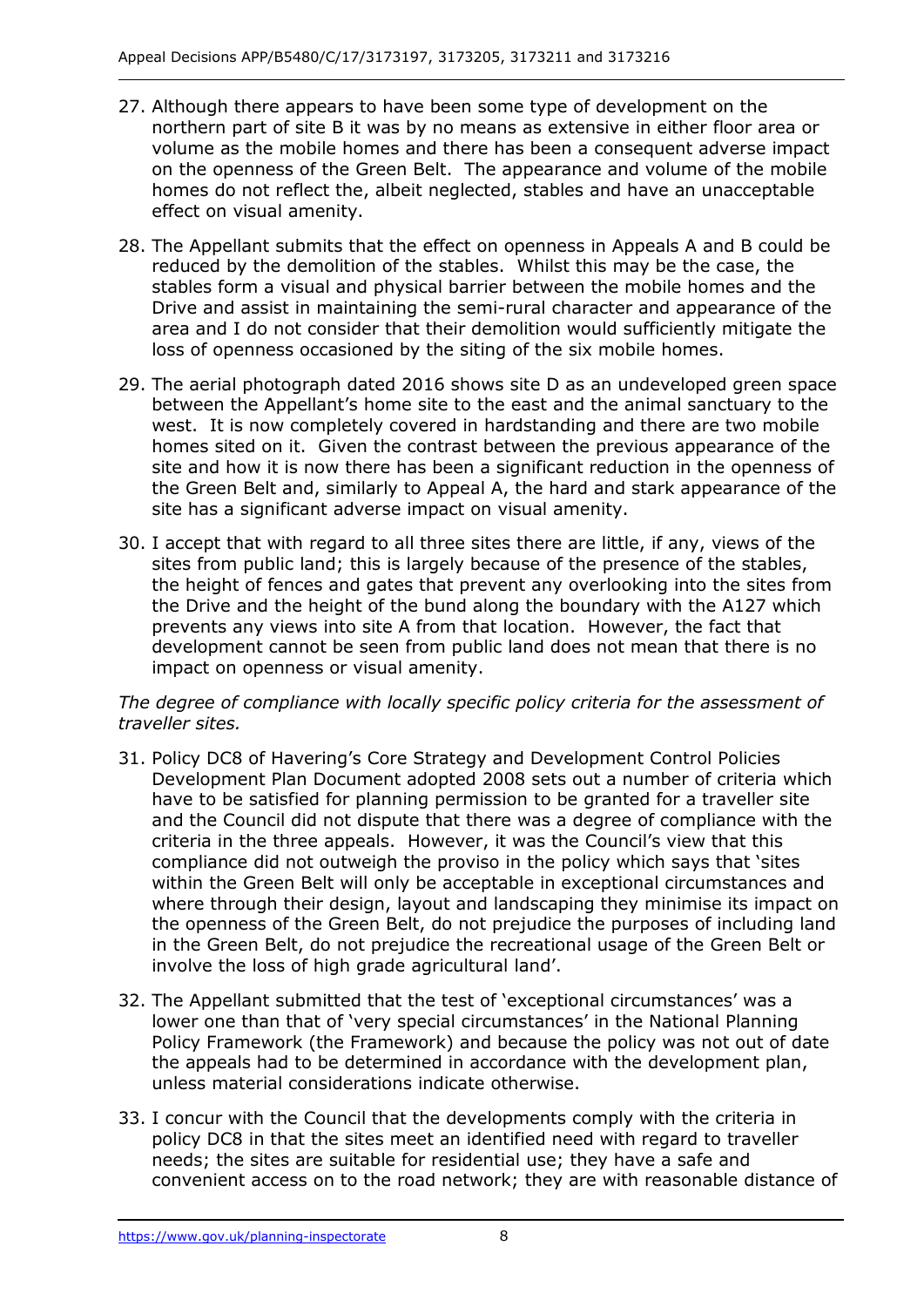- 27. Although there appears to have been some type of development on the northern part of site B it was by no means as extensive in either floor area or on the openness of the Green Belt. The appearance and volume of the mobile homes do not reflect the, albeit neglected, stables and have an unacceptable effect on visual amenity. volume as the mobile homes and there has been a consequent adverse impact
- 28. The Appellant submits that the effect on openness in Appeals A and B could be stables form a visual and physical barrier between the mobile homes and the Drive and assist in maintaining the semi-rural character and appearance of the area and I do not consider that their demolition would sufficiently mitigate the loss of openness occasioned by the siting of the six mobile homes. reduced by the demolition of the stables. Whilst this may be the case, the
- 29. The aerial photograph dated 2016 shows site D as an undeveloped green space between the Appellant's home site to the east and the animal sanctuary to the west. It is now completely covered in hardstanding and there are two mobile homes sited on it. Given the contrast between the previous appearance of the site and how it is now there has been a significant reduction in the openness of the Green Belt and, similarly to Appeal A, the hard and stark appearance of the site has a significant adverse impact on visual amenity.
- 30. I accept that with regard to all three sites there are little, if any, views of the sites from public land; this is largely because of the presence of the stables, the height of fences and gates that prevent any overlooking into the sites from the Drive and the height of the bund along the boundary with the A127 which prevents any views into site A from that location. However, the fact that development cannot be seen from public land does not mean that there is no impact on openness or visual amenity.

## *The degree of compliance with locally specific policy criteria for the assessment of traveller sites.*

- 31. Policy DC8 of Havering's Core Strategy and Development Control Policies Development Plan Document adopted 2008 sets out a number of criteria which have to be satisfied for planning permission to be granted for a traveller site and the Council did not dispute that there was a degree of compliance with the criteria in the three appeals. However, it was the Council's view that this compliance did not outweigh the proviso in the policy which says that 'sites within the Green Belt will only be acceptable in exceptional circumstances and where through their design, layout and landscaping they minimise its impact on the openness of the Green Belt, do not prejudice the purposes of including land in the Green Belt, do not prejudice the recreational usage of the Green Belt or involve the loss of high grade agricultural land'.
- 32. The Appellant submitted that the test of 'exceptional circumstances' was a lower one than that of 'very special circumstances' in the National Planning Policy Framework (the Framework) and because the policy was not out of date the appeals had to be determined in accordance with the development plan, unless material considerations indicate otherwise.
- 33. I concur with the Council that the developments comply with the criteria in policy DC8 in that the sites meet an identified need with regard to traveller needs; the sites are suitable for residential use; they have a safe and convenient access on to the road network; they are with reasonable distance of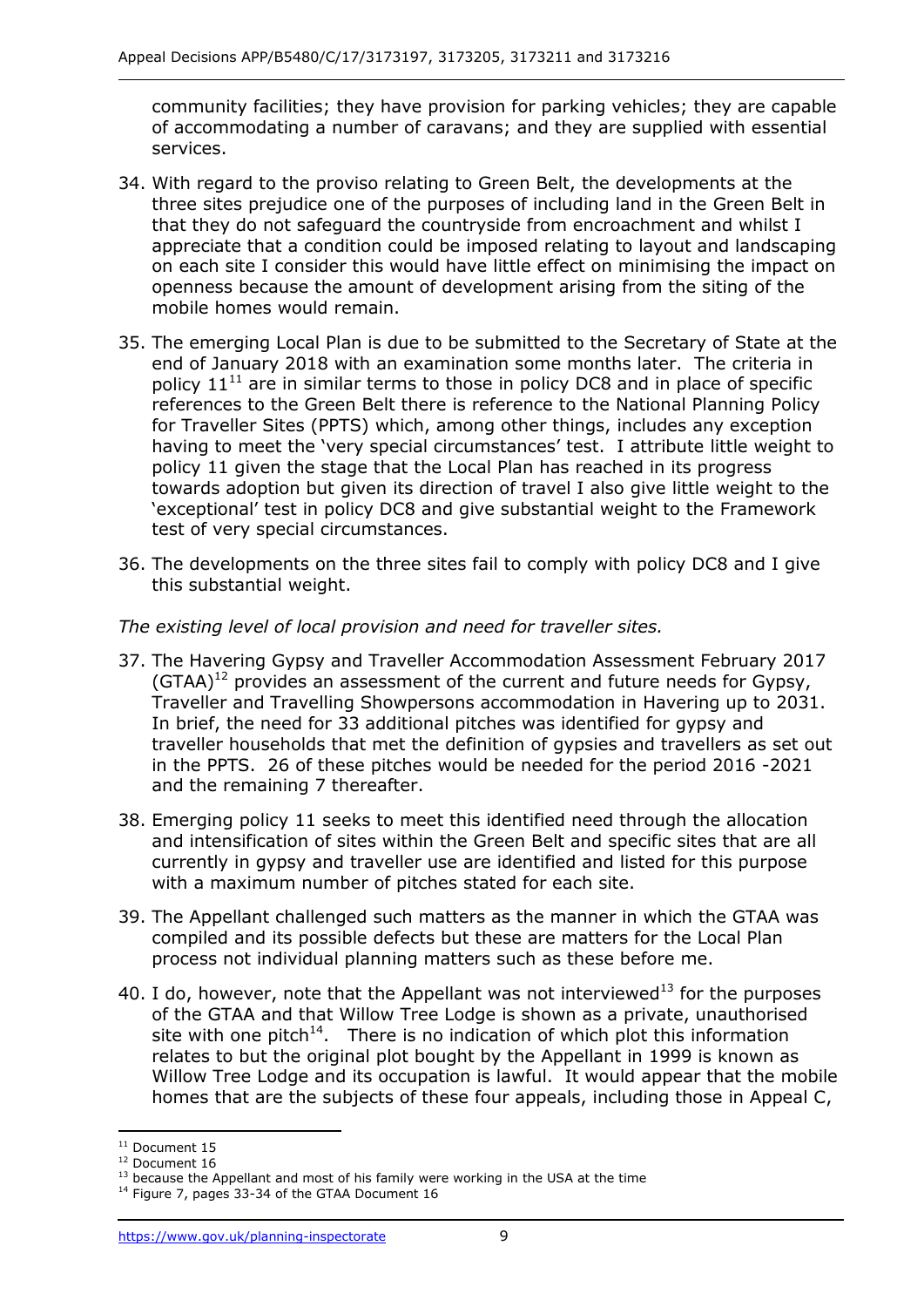community facilities; they have provision for parking vehicles; they are capable of accommodating a number of caravans; and they are supplied with essential services.

- services. 34. With regard to the proviso relating to Green Belt, the developments at the three sites prejudice one of the purposes of including land in the Green Belt in that they do not safeguard the countryside from encroachment and whilst I appreciate that a condition could be imposed relating to layout and landscaping openness because the amount of development arising from the siting of the mobile homes would remain. on each site I consider this would have little effect on minimising the impact on
- 35. The emerging Local Plan is due to be submitted to the Secretary of State at the end of January 2018 with an examination some months later. The criteria in policy  $11^{11}$  are in similar terms to those in policy DC8 and in place of specific references to the Green Belt there is reference to the National Planning Policy for Traveller Sites (PPTS) which, among other things, includes any exception having to meet the 'very special circumstances' test. I attribute little weight to policy 11 given the stage that the Local Plan has reached in its progress towards adoption but given its direction of travel I also give little weight to the 'exceptional' test in policy DC8 and give substantial weight to the Framework test of very special circumstances.
- 36. The developments on the three sites fail to comply with policy DC8 and I give this substantial weight.

#### *The existing level of local provision and need for traveller sites.*

- 37. The Havering Gypsy and Traveller Accommodation Assessment February 2017 (GTAA)<sup>12</sup> provides an assessment of the current and future needs for Gypsy, Traveller and Travelling Showpersons accommodation in Havering up to 2031. In brief, the need for 33 additional pitches was identified for gypsy and traveller households that met the definition of gypsies and travellers as set out in the PPTS. 26 of these pitches would be needed for the period 2016 -2021 and the remaining 7 thereafter.
- 38. Emerging policy 11 seeks to meet this identified need through the allocation currently in gypsy and traveller use are identified and listed for this purpose with a maximum number of pitches stated for each site. and intensification of sites within the Green Belt and specific sites that are all
- 39. The Appellant challenged such matters as the manner in which the GTAA was compiled and its possible defects but these are matters for the Local Plan process not individual planning matters such as these before me.
- 40. I do, however, note that the Appellant was not interviewed<sup>13</sup> for the purposes of the GTAA and that Willow Tree Lodge is shown as a private, unauthorised site with one pitch<sup>14</sup>. There is no indication of which plot this information relates to but the original plot bought by the Appellant in 1999 is known as Willow Tree Lodge and its occupation is lawful. It would appear that the mobile homes that are the subjects of these four appeals, including those in Appeal C,

j

<sup>&</sup>lt;sup>12</sup> Document 16

<sup>&</sup>lt;sup>11</sup> Document 15<br><sup>12</sup> Document 16<br><sup>13</sup> because the Appellant and most of his family were working in the USA at the time<br><sup>14</sup> Figure 7, pages 33-34 of the GTAA Document 16

<sup>&</sup>lt;sup>14</sup> Figure 7, pages 33-34 of the GTAA Document 16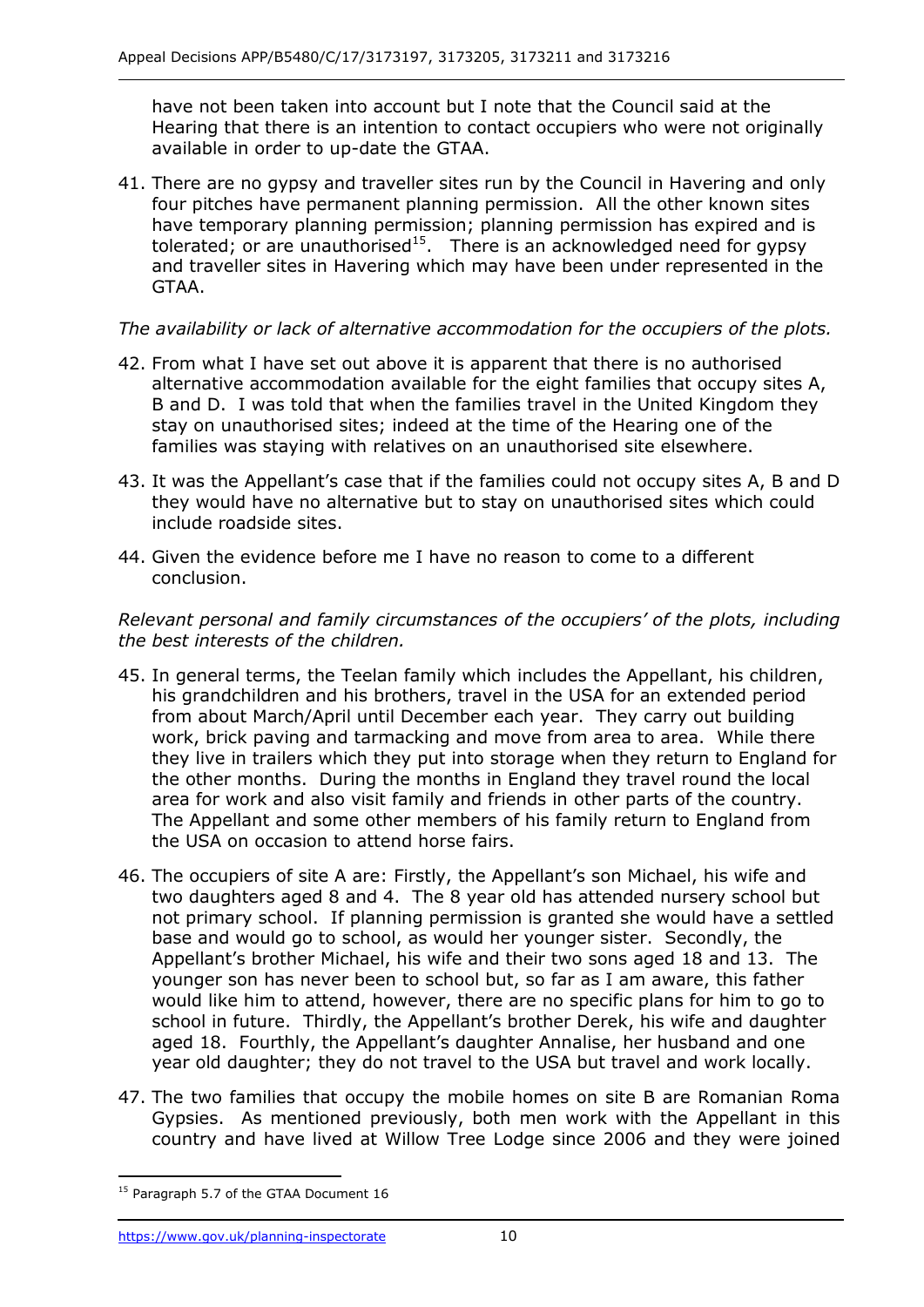have not been taken into account but I note that the Council said at the Hearing that there is an intention to contact occupiers who were not originally available in order to up-date the GTAA.

 available in order to up-date the GTAA. 41. There are no gypsy and traveller sites run by the Council in Havering and only four pitches have permanent planning permission. All the other known sites have temporary planning permission; planning permission has expired and is tolerated; or are unauthorised<sup>15</sup>. There is an acknowledged need for gypsy and traveller sites in Havering which may have been under represented in the GTAA.

## *The availability or lack of alternative accommodation for the occupiers of the plots.*

- 42. From what I have set out above it is apparent that there is no authorised alternative accommodation available for the eight families that occupy sites A, B and D. I was told that when the families travel in the United Kingdom they stay on unauthorised sites; indeed at the time of the Hearing one of the families was staying with relatives on an unauthorised site elsewhere.
- 43. It was the Appellant's case that if the families could not occupy sites A, B and D they would have no alternative but to stay on unauthorised sites which could include roadside sites.
- include roadside sites. 44. Given the evidence before me I have no reason to come to a different conclusion.

#### *Relevant personal and family circumstances of the occupiers' of the plots, including the best interests of the children.*

- 45. In general terms, the Teelan family which includes the Appellant, his children, his grandchildren and his brothers, travel in the USA for an extended period from about March/April until December each year. They carry out building work, brick paving and tarmacking and move from area to area. While there they live in trailers which they put into storage when they return to England for the other months. During the months in England they travel round the local area for work and also visit family and friends in other parts of the country. The Appellant and some other members of his family return to England from the USA on occasion to attend horse fairs.
- the USA on occasion to attend horse fairs. 46. The occupiers of site A are: Firstly, the Appellant's son Michael, his wife and two daughters aged 8 and 4. The 8 year old has attended nursery school but not primary school. If planning permission is granted she would have a settled base and would go to school, as would her younger sister. Secondly, the Appellant's brother Michael, his wife and their two sons aged 18 and 13. The younger son has never been to school but, so far as I am aware, this father would like him to attend, however, there are no specific plans for him to go to school in future. Thirdly, the Appellant's brother Derek, his wife and daughter aged 18. Fourthly, the Appellant's daughter Annalise, her husband and one year old daughter; they do not travel to the USA but travel and work locally.
- 47. The two families that occupy the mobile homes on site B are Romanian Roma Gypsies. As mentioned previously, both men work with the Appellant in this country and have lived at Willow Tree Lodge since 2006 and they were joined

-

<sup>&</sup>lt;sup>15</sup> Paragraph 5.7 of the GTAA Document 16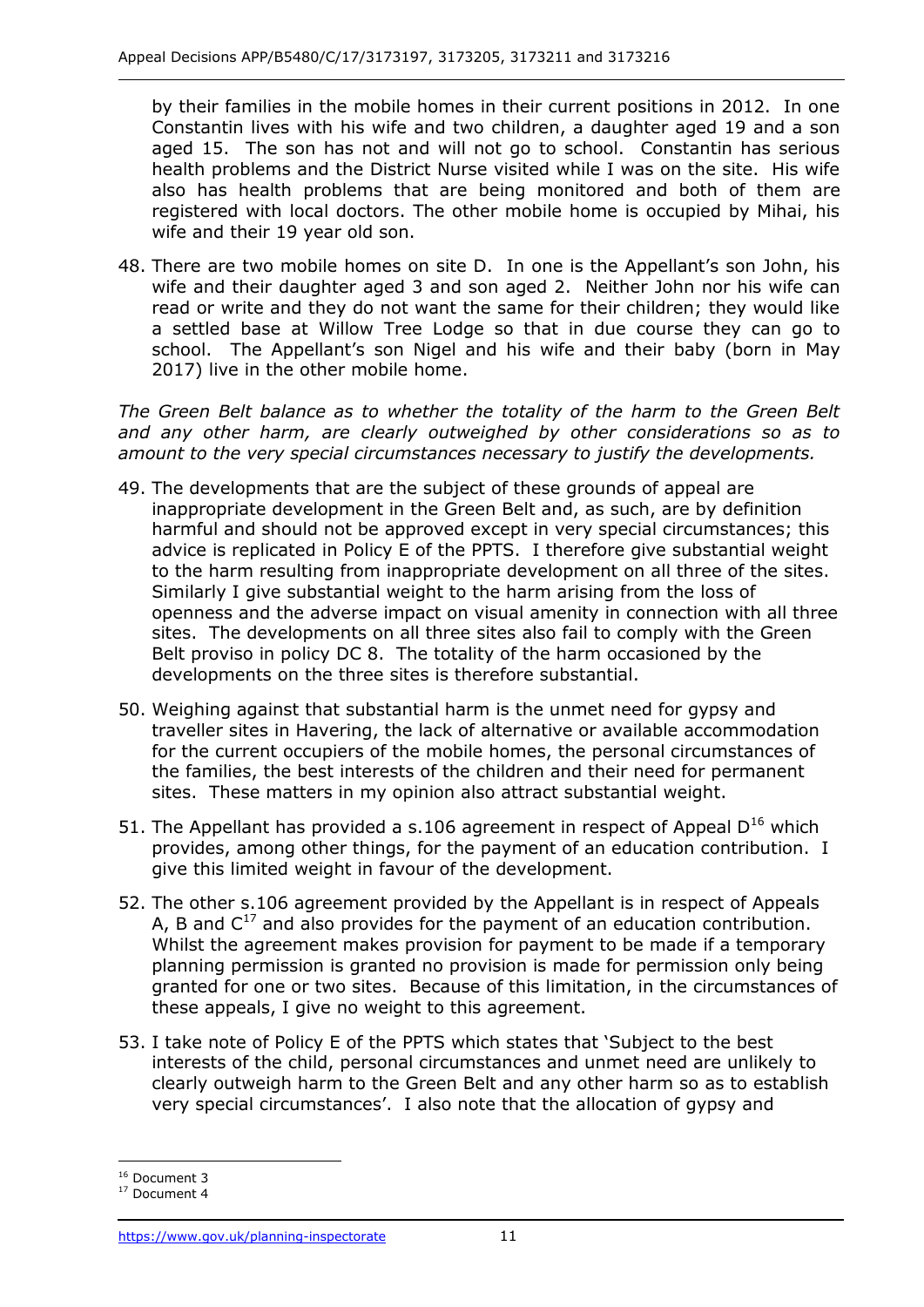by their families in the mobile homes in their current positions in 2012. In one Constantin lives with his wife and two children, a daughter aged 19 and a son aged 15. The son has not and will not go to school. Constantin has serious health problems and the District Nurse visited while I was on the site. His wife also has health problems that are being monitored and both of them are registered with local doctors. The other mobile home is occupied by Mihai, his wife and their 19 year old son.

 48. There are two mobile homes on site D. In one is the Appellant's son John, his wife and their daughter aged 3 and son aged 2. Neither John nor his wife can read or write and they do not want the same for their children; they would like a settled base at Willow Tree Lodge so that in due course they can go to school. The Appellant's son Nigel and his wife and their baby (born in May 2017) live in the other mobile home.

The Green Belt balance as to whether the totality of the harm to the Green Belt  *and any other harm, are clearly outweighed by other considerations so as to amount to the very special circumstances necessary to justify the developments.* 

- inappropriate development in the Green Belt and, as such, are by definition harmful and should not be approved except in very special circumstances; this advice is replicated in Policy E of the PPTS. I therefore give substantial weight to the harm resulting from inappropriate development on all three of the sites. Similarly I give substantial weight to the harm arising from the loss of openness and the adverse impact on visual amenity in connection with all three sites. The developments on all three sites also fail to comply with the Green Belt proviso in policy DC 8. The totality of the harm occasioned by the 49. The developments that are the subject of these grounds of appeal are developments on the three sites is therefore substantial.
- 50. Weighing against that substantial harm is the unmet need for gypsy and traveller sites in Havering, the lack of alternative or available accommodation the families, the best interests of the children and their need for permanent sites. These matters in my opinion also attract substantial weight. for the current occupiers of the mobile homes, the personal circumstances of
- 51. The Appellant has provided a s.106 agreement in respect of Appeal  $D^{16}$  which provides, among other things, for the payment of an education contribution. I give this limited weight in favour of the development.
- 52. The other s.106 agreement provided by the Appellant is in respect of Appeals A, B and  $C^{17}$  and also provides for the payment of an education contribution. Whilst the agreement makes provision for payment to be made if a temporary planning permission is granted no provision is made for permission only being granted for one or two sites. Because of this limitation, in the circumstances of these appeals, I give no weight to this agreement.
- 53. I take note of Policy E of the PPTS which states that 'Subject to the best interests of the child, personal circumstances and unmet need are unlikely to clearly outweigh harm to the Green Belt and any other harm so as to establish very special circumstances'. I also note that the allocation of gypsy and

j <sup>16</sup> Document 3<br><sup>17</sup> Document 4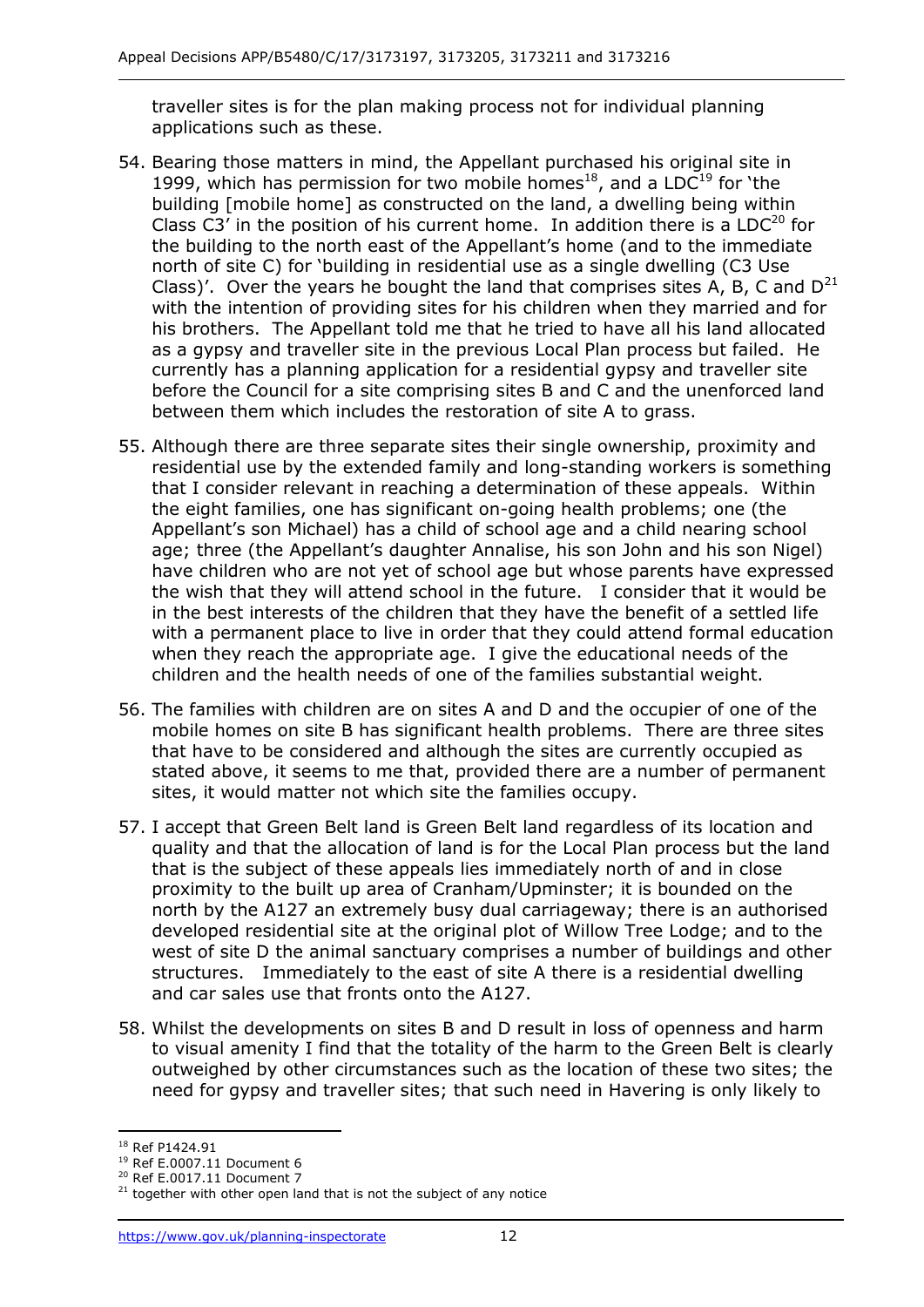applications such as these. traveller sites is for the plan making process not for individual planning

- 54. Bearing those matters in mind, the Appellant purchased his original site in Class C3' in the position of his current home. In addition there is a  $LDC^{20}$  for the building to the north east of the Appellant's home (and to the immediate north of site C) for 'building in residential use as a single dwelling (C3 Use Class)'. Over the years he bought the land that comprises sites A, B, C and  $D^{21}$  his brothers. The Appellant told me that he tried to have all his land allocated as a gypsy and traveller site in the previous Local Plan process but failed. He currently has a planning application for a residential gypsy and traveller site before the Council for a site comprising sites B and C and the unenforced land between them which includes the restoration of site A to grass. between them which includes the restoration of site A to grass. 55. Although there are three separate sites their single ownership, proximity and 1999, which has permission for two mobile homes<sup>18</sup>, and a LDC<sup>19</sup> for 'the building [mobile home] as constructed on the land, a dwelling being within with the intention of providing sites for his children when they married and for
- residential use by the extended family and long-standing workers is something that I consider relevant in reaching a determination of these appeals. Within the eight families, one has significant on-going health problems; one (the Appellant's son Michael) has a child of school age and a child nearing school age; three (the Appellant's daughter Annalise, his son John and his son Nigel) have children who are not yet of school age but whose parents have expressed the wish that they will attend school in the future. I consider that it would be in the best interests of the children that they have the benefit of a settled life with a permanent place to live in order that they could attend formal education when they reach the appropriate age. I give the educational needs of the children and the health needs of one of the families substantial weight.
- 56. The families with children are on sites A and D and the occupier of one of the mobile homes on site B has significant health problems. There are three sites stated above, it seems to me that, provided there are a number of permanent sites, it would matter not which site the families occupy. that have to be considered and although the sites are currently occupied as
- quality and that the allocation of land is for the Local Plan process but the land that is the subject of these appeals lies immediately north of and in close north by the A127 an extremely busy dual carriageway; there is an authorised developed residential site at the original plot of Willow Tree Lodge; and to the structures. Immediately to the east of site A there is a residential dwelling and car sales use that fronts onto the A127. 57. I accept that Green Belt land is Green Belt land regardless of its location and proximity to the built up area of Cranham/Upminster; it is bounded on the west of site D the animal sanctuary comprises a number of buildings and other
- 58. Whilst the developments on sites B and D result in loss of openness and harm to visual amenity I find that the totality of the harm to the Green Belt is clearly outweighed by other circumstances such as the location of these two sites; the need for gypsy and traveller sites; that such need in Havering is only likely to

j <sup>18</sup> Ref P1424.91

<sup>&</sup>lt;sup>19</sup> Ref E.0007.11 Document 6

<sup>&</sup>lt;sup>20</sup> Ref E.0017.11 Document 7

<sup>&</sup>lt;sup>18</sup> Ref P1424.91<br><sup>19</sup> Ref E.0007.11 Document 6<br><sup>20</sup> Ref E.0017.11 Document 7<br><sup>21</sup> together with other open land that is not the subject of any notice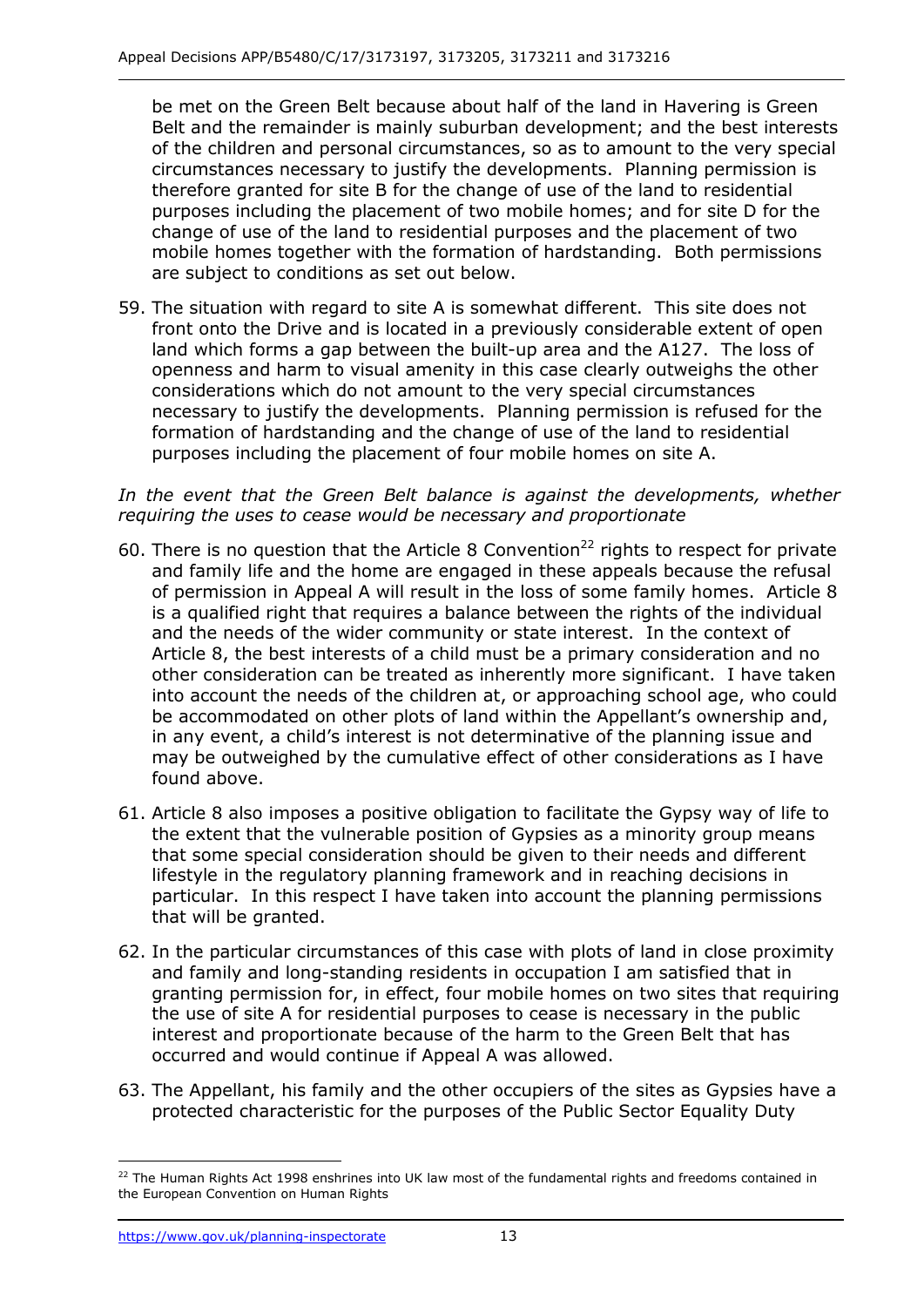be met on the Green Belt because about half of the land in Havering is Green Belt and the remainder is mainly suburban development; and the best interests of the children and personal circumstances, so as to amount to the very special circumstances necessary to justify the developments. Planning permission is purposes including the placement of two mobile homes; and for site D for the mobile homes together with the formation of hardstanding. Both permissions are subject to conditions as set out below. therefore granted for site B for the change of use of the land to residential change of use of the land to residential purposes and the placement of two

 59. The situation with regard to site A is somewhat different. This site does not front onto the Drive and is located in a previously considerable extent of open land which forms a gap between the built-up area and the A127. The loss of openness and harm to visual amenity in this case clearly outweighs the other considerations which do not amount to the very special circumstances necessary to justify the developments. Planning permission is refused for the formation of hardstanding and the change of use of the land to residential purposes including the placement of four mobile homes on site A.

#### In the event that the Green Belt balance is against the developments, whether  *requiring the uses to cease would be necessary and proportionate*

- and family life and the home are engaged in these appeals because the refusal of permission in Appeal A will result in the loss of some family homes. Article 8 and the needs of the wider community or state interest. In the context of Article 8, the best interests of a child must be a primary consideration and no other consideration can be treated as inherently more significant. I have taken into account the needs of the children at, or approaching school age, who could be accommodated on other plots of land within the Appellant's ownership and, in any event, a child's interest is not determinative of the planning issue and may be outweighed by the cumulative effect of other considerations as I have found above. 60. There is no question that the Article 8 Convention<sup>22</sup> rights to respect for private is a qualified right that requires a balance between the rights of the individual
- 61. Article 8 also imposes a positive obligation to facilitate the Gypsy way of life to the extent that the vulnerable position of Gypsies as a minority group means that some special consideration should be given to their needs and different lifestyle in the regulatory planning framework and in reaching decisions in particular. In this respect I have taken into account the planning permissions that will be granted.
- 62. In the particular circumstances of this case with plots of land in close proximity and family and long-standing residents in occupation I am satisfied that in granting permission for, in effect, four mobile homes on two sites that requiring the use of site A for residential purposes to cease is necessary in the public interest and proportionate because of the harm to the Green Belt that has occurred and would continue if Appeal A was allowed.
- 63. The Appellant, his family and the other occupiers of the sites as Gypsies have a protected characteristic for the purposes of the Public Sector Equality Duty

j the European Convention on Human Rights <sup>22</sup> The Human Rights Act 1998 enshrines into UK law most of the fundamental rights and freedoms contained in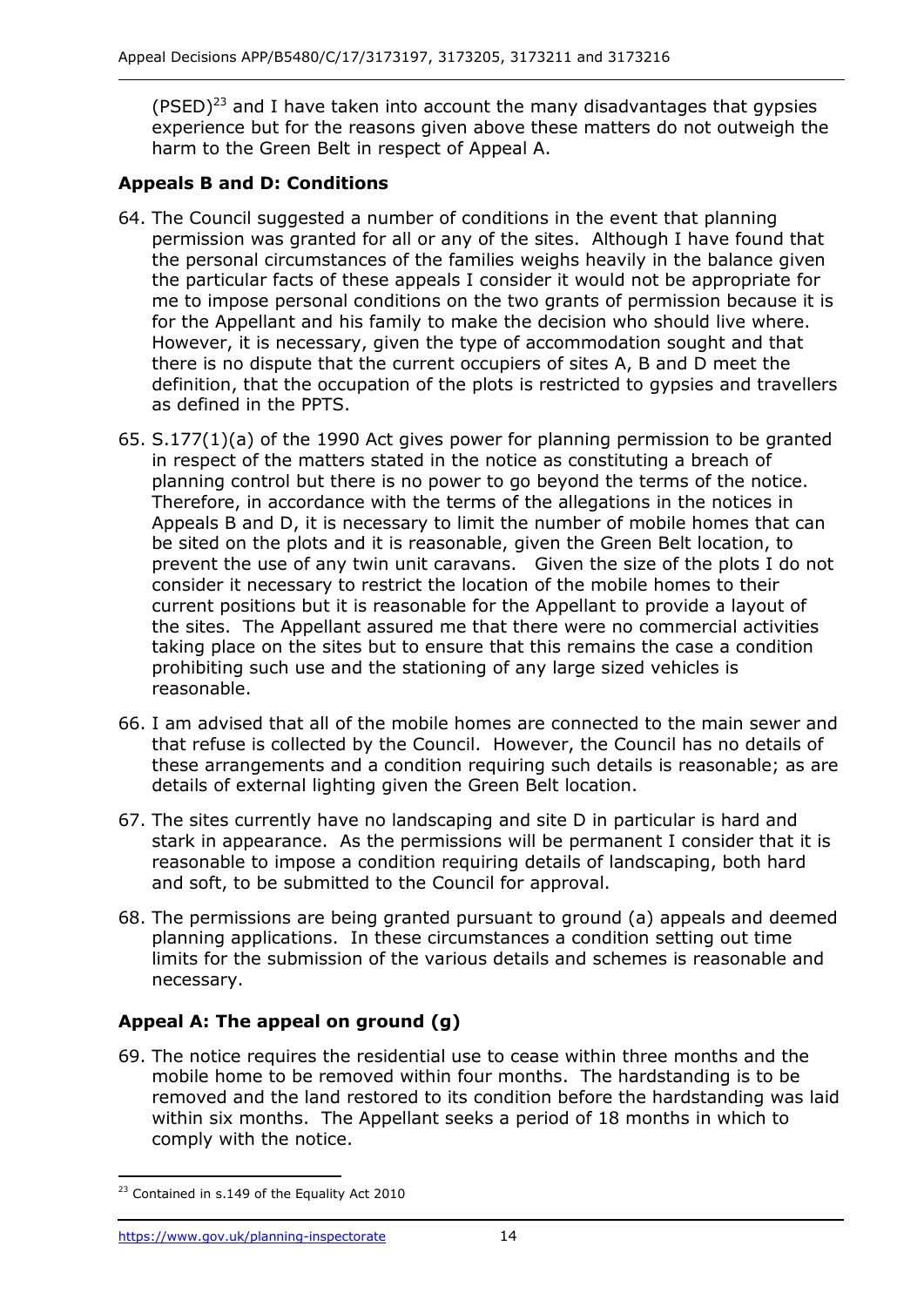(PSED)<sup>23</sup> and I have taken into account the many disadvantages that gypsies harm to the Green Belt in respect of Appeal A. experience but for the reasons given above these matters do not outweigh the

#### **Appeals B and D: Conditions**

- permission was granted for all or any of the sites. Although I have found that the particular facts of these appeals I consider it would not be appropriate for me to impose personal conditions on the two grants of permission because it is for the Appellant and his family to make the decision who should live where. However, it is necessary, given the type of accommodation sought and that there is no dispute that the current occupiers of sites A, B and D meet the as defined in the PPTS. 64. The Council suggested a number of conditions in the event that planning the personal circumstances of the families weighs heavily in the balance given definition, that the occupation of the plots is restricted to gypsies and travellers
- 65. S.177(1)(a) of the 1990 Act gives power for planning permission to be granted in respect of the matters stated in the notice as constituting a breach of planning control but there is no power to go beyond the terms of the notice. Therefore, in accordance with the terms of the allegations in the notices in Appeals B and D, it is necessary to limit the number of mobile homes that can prevent the use of any twin unit caravans. Given the size of the plots I do not current positions but it is reasonable for the Appellant to provide a layout of the sites. The Appellant assured me that there were no commercial activities taking place on the sites but to ensure that this remains the case a condition prohibiting such use and the stationing of any large sized vehicles is be sited on the plots and it is reasonable, given the Green Belt location, to consider it necessary to restrict the location of the mobile homes to their reasonable.
- that refuse is collected by the Council. However, the Council has no details of these arrangements and a condition requiring such details is reasonable; as are details of external lighting given the Green Belt location. 66. I am advised that all of the mobile homes are connected to the main sewer and
- 67. The sites currently have no landscaping and site D in particular is hard and stark in appearance. As the permissions will be permanent I consider that it is reasonable to impose a condition requiring details of landscaping, both hard and soft, to be submitted to the Council for approval.
- 68. The permissions are being granted pursuant to ground (a) appeals and deemed planning applications. In these circumstances a condition setting out time limits for the submission of the various details and schemes is reasonable and necessary.

# **Appeal A: The appeal on ground (g)**

 mobile home to be removed within four months. The hardstanding is to be removed and the land restored to its condition before the hardstanding was laid within six months. The Appellant seeks a period of 18 months in which to 69. The notice requires the residential use to cease within three months and the comply with the notice.

-

<sup>&</sup>lt;sup>23</sup> Contained in s.149 of the Equality Act 2010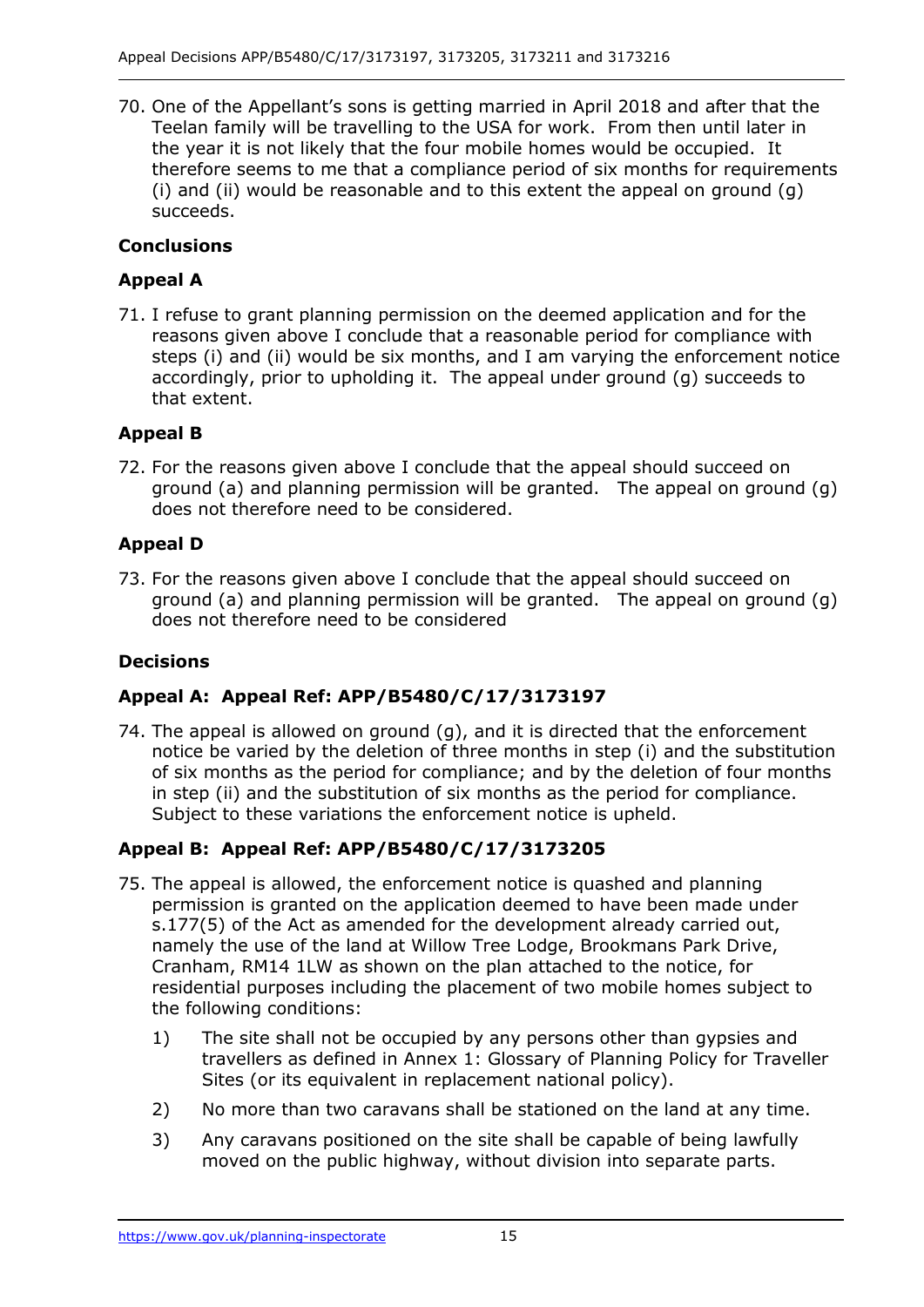70. One of the Appellant's sons is getting married in April 2018 and after that the Teelan family will be travelling to the USA for work. From then until later in the year it is not likely that the four mobile homes would be occupied. It (i) and (ii) would be reasonable and to this extent the appeal on ground (g) therefore seems to me that a compliance period of six months for requirements succeeds.

# **Conclusions**

# **Appeal A**

 71. I refuse to grant planning permission on the deemed application and for the steps (i) and (ii) would be six months, and I am varying the enforcement notice accordingly, prior to upholding it. The appeal under ground (g) succeeds to that extent. reasons given above I conclude that a reasonable period for compliance with

# **Appeal B**

 72. For the reasons given above I conclude that the appeal should succeed on ground (a) and planning permission will be granted. The appeal on ground (g) does not therefore need to be considered.

# **Appeal D**

 73. For the reasons given above I conclude that the appeal should succeed on ground (a) and planning permission will be granted. The appeal on ground (g) does not therefore need to be considered

# **Decisions**

# **Appeal A: Appeal Ref: APP/B5480/C/17/3173197**

 74. The appeal is allowed on ground (g), and it is directed that the enforcement notice be varied by the deletion of three months in step (i) and the substitution of six months as the period for compliance; and by the deletion of four months in step (ii) and the substitution of six months as the period for compliance. Subject to these variations the enforcement notice is upheld.

# **Appeal B: Appeal Ref: APP/B5480/C/17/3173205**

- 75. The appeal is allowed, the enforcement notice is quashed and planning s.177(5) of the Act as amended for the development already carried out, namely the use of the land at Willow Tree Lodge, Brookmans Park Drive, Cranham, RM14 1LW as shown on the plan attached to the notice, for the following conditions: permission is granted on the application deemed to have been made under residential purposes including the placement of two mobile homes subject to
	- the following conditions:<br>1) The site shall not be occupied by any persons other than gypsies and travellers as defined in Annex 1: Glossary of Planning Policy for Traveller Sites (or its equivalent in replacement national policy).
	- 2) No more than two caravans shall be stationed on the land at any time.
	- 3) Any caravans positioned on the site shall be capable of being lawfully moved on the public highway, without division into separate parts.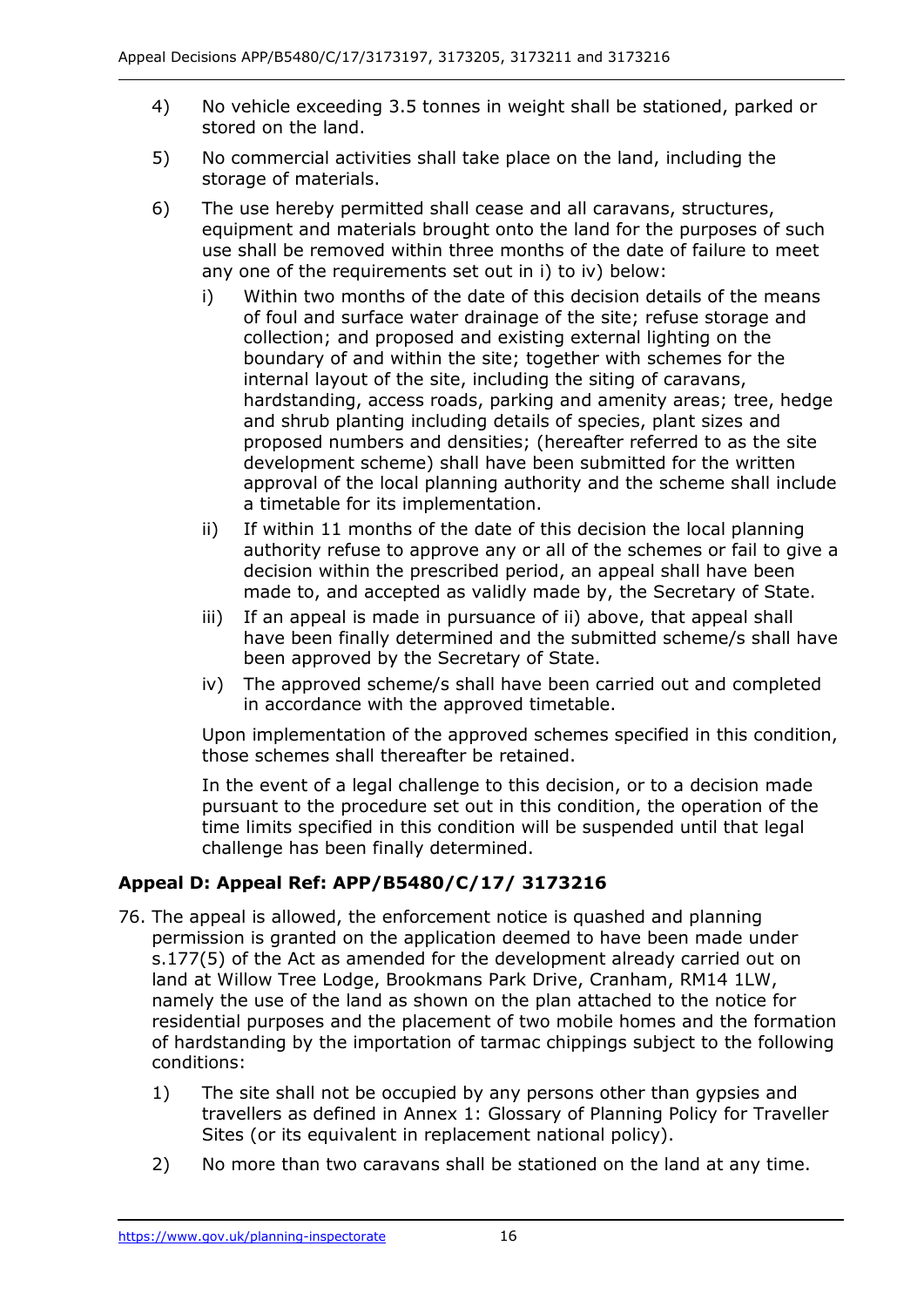- 4) No vehicle exceeding 3.5 tonnes in weight shall be stationed, parked or stored on the land.
- 5) No commercial activities shall take place on the land, including the storage of materials.
- 6) The use hereby permitted shall cease and all caravans, structures, equipment and materials brought onto the land for the purposes of such use shall be removed within three months of the date of failure to meet any one of the requirements set out in i) to iv) below:
	- of foul and surface water drainage of the site; refuse storage and collection; and proposed and existing external lighting on the boundary of and within the site; together with schemes for the internal layout of the site, including the siting of caravans, hardstanding, access roads, parking and amenity areas; tree, hedge and shrub planting including details of species, plant sizes and proposed numbers and densities; (hereafter referred to as the site development scheme) shall have been submitted for the written approval of the local planning authority and the scheme shall include i) Within two months of the date of this decision details of the means a timetable for its implementation.
	- ii) If within 11 months of the date of this decision the local planning authority refuse to approve any or all of the schemes or fail to give a decision within the prescribed period, an appeal shall have been made to, and accepted as validly made by, the Secretary of State.
	- iii) If an appeal is made in pursuance of ii) above, that appeal shall have been finally determined and the submitted scheme/s shall have been approved by the Secretary of State.
	- iv) The approved scheme/s shall have been carried out and completed in accordance with the approved timetable.

 those schemes shall thereafter be retained. Upon implementation of the approved schemes specified in this condition,

 In the event of a legal challenge to this decision, or to a decision made pursuant to the procedure set out in this condition, the operation of the time limits specified in this condition will be suspended until that legal challenge has been finally determined.

# **Appeal D: Appeal Ref: APP/B5480/C/17/ 3173216**

- 76. The appeal is allowed, the enforcement notice is quashed and planning s.177(5) of the Act as amended for the development already carried out on land at Willow Tree Lodge, Brookmans Park Drive, Cranham, RM14 1LW, namely the use of the land as shown on the plan attached to the notice for of hardstanding by the importation of tarmac chippings subject to the following permission is granted on the application deemed to have been made under residential purposes and the placement of two mobile homes and the formation conditions:
	- 1) The site shall not be occupied by any persons other than gypsies and travellers as defined in Annex 1: Glossary of Planning Policy for Traveller Sites (or its equivalent in replacement national policy).
	- 2) No more than two caravans shall be stationed on the land at any time.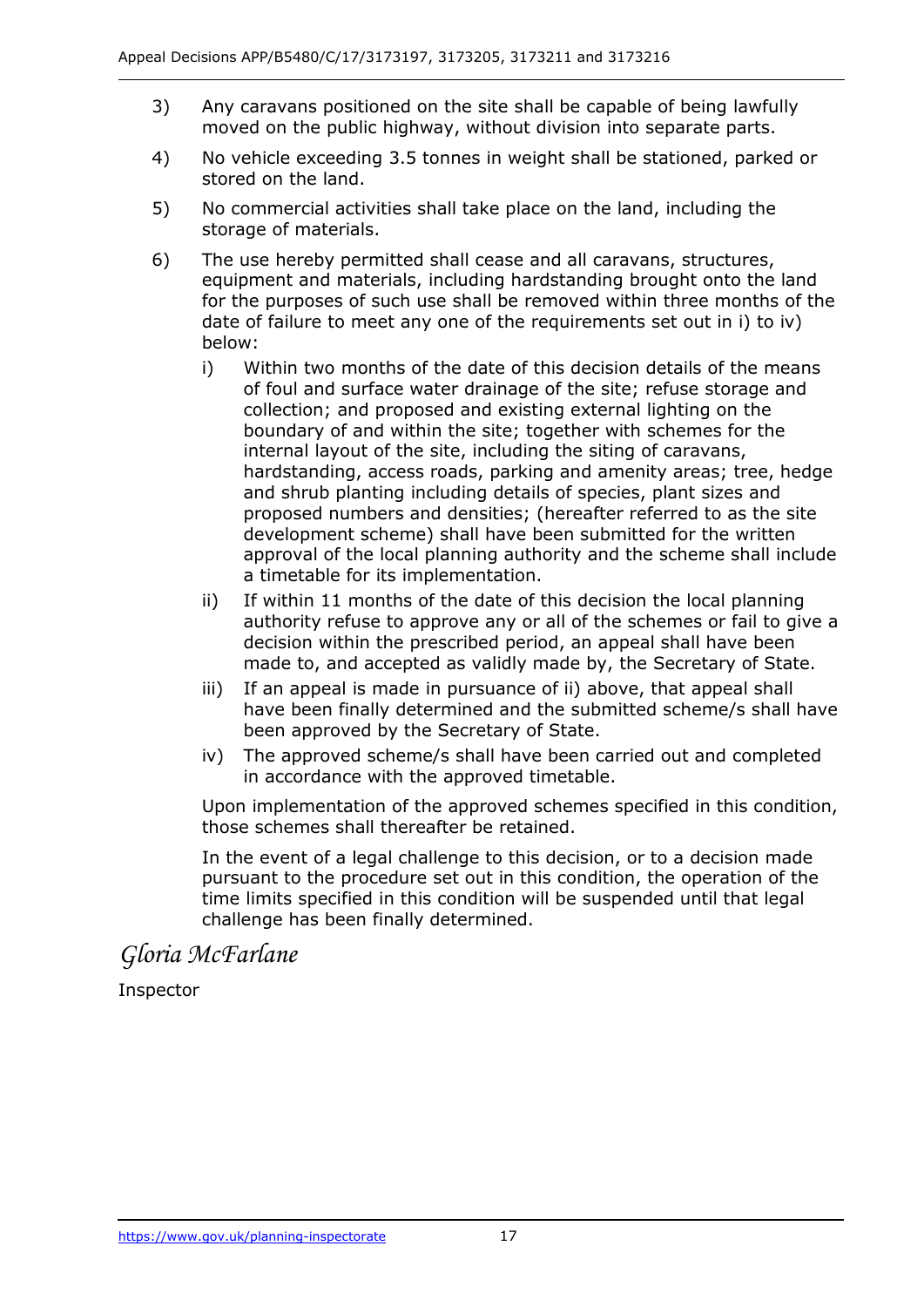- 3) Any caravans positioned on the site shall be capable of being lawfully moved on the public highway, without division into separate parts.
- 4) No vehicle exceeding 3.5 tonnes in weight shall be stationed, parked or stored on the land.
- 5) No commercial activities shall take place on the land, including the storage of materials.
- 6) The use hereby permitted shall cease and all caravans, structures, equipment and materials, including hardstanding brought onto the land for the purposes of such use shall be removed within three months of the date of failure to meet any one of the requirements set out in i) to iv) below:
	- of foul and surface water drainage of the site; refuse storage and collection; and proposed and existing external lighting on the boundary of and within the site; together with schemes for the internal layout of the site, including the siting of caravans, hardstanding, access roads, parking and amenity areas; tree, hedge and shrub planting including details of species, plant sizes and proposed numbers and densities; (hereafter referred to as the site development scheme) shall have been submitted for the written approval of the local planning authority and the scheme shall include i) Within two months of the date of this decision details of the means a timetable for its implementation.
	- ii) If within 11 months of the date of this decision the local planning authority refuse to approve any or all of the schemes or fail to give a decision within the prescribed period, an appeal shall have been made to, and accepted as validly made by, the Secretary of State.
	- iii) If an appeal is made in pursuance of ii) above, that appeal shall have been finally determined and the submitted scheme/s shall have been approved by the Secretary of State.
	- iv) The approved scheme/s shall have been carried out and completed in accordance with the approved timetable.

 those schemes shall thereafter be retained. Upon implementation of the approved schemes specified in this condition,

 In the event of a legal challenge to this decision, or to a decision made pursuant to the procedure set out in this condition, the operation of the time limits specified in this condition will be suspended until that legal challenge has been finally determined.

*Gloria McFarlane* 

Inspector